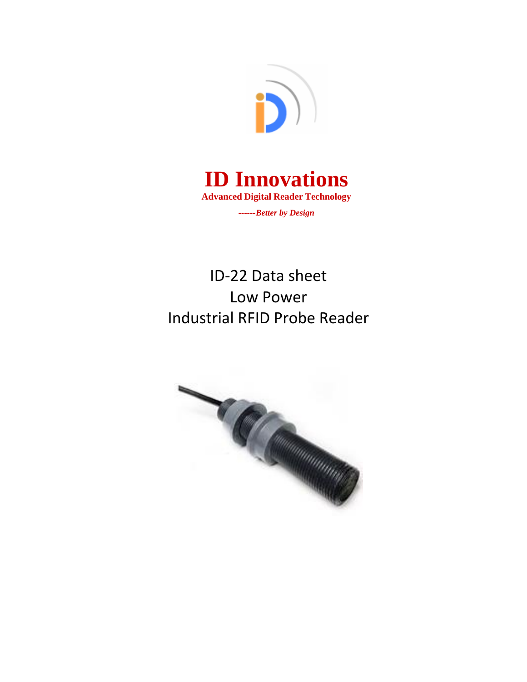



ID-22 Data sheet Low Power Industrial RFID Probe Reader

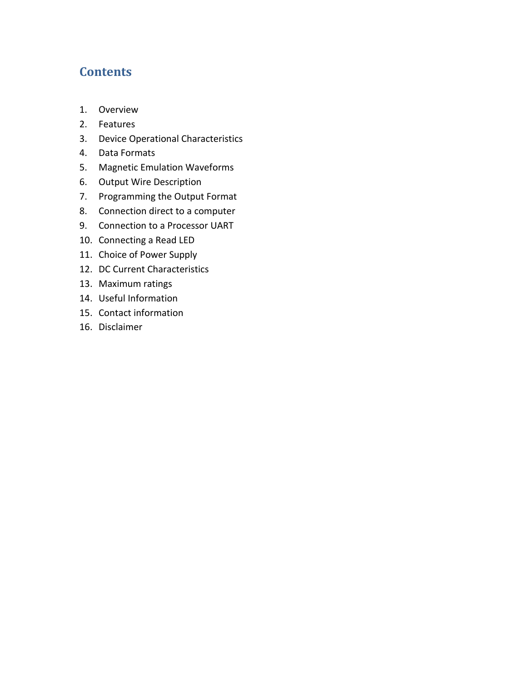## **Contents**

- 1. Overview
- 2. Features
- 3. Device Operational Characteristics
- 4. Data Formats
- 5. Magnetic Emulation Waveforms
- 6. Output Wire Description
- 7. Programming the Output Format
- 8. Connection direct to a computer
- 9. Connection to a Processor UART
- 10. Connecting a Read LED
- 11. Choice of Power Supply
- 12. DC Current Characteristics
- 13. Maximum ratings
- 14. Useful Information
- 15. Contact information
- 16. Disclaimer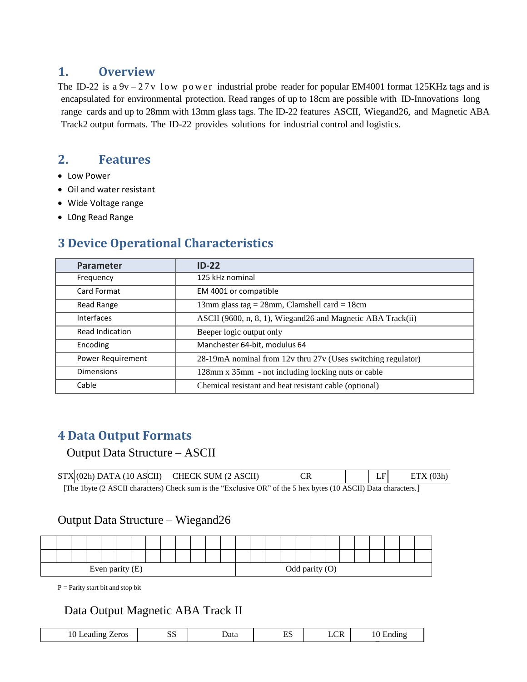## **1. Overview**

The ID-22 is a  $9v - 27v$  low power industrial probe reader for popular EM4001 format 125KHz tags and is encapsulated for environmental protection. Read ranges of up to 18cm are possible with ID-Innovations long range cards and up to 28mm with 13mm glass tags. The ID-22 features ASCII, Wiegand26, and Magnetic ABA Track2 output formats. The ID-22 provides solutions for industrial control and logistics.

# **2. Features**

- Low Power
- Oil and water resistant
- Wide Voltage range
- L0ng Read Range

# **3 Device Operational Characteristics**

| <b>Parameter</b>  | $ID-22$                                                      |
|-------------------|--------------------------------------------------------------|
| Frequency         | 125 kHz nominal                                              |
| Card Format       | EM 4001 or compatible                                        |
| Read Range        | 13mm glass tag = $28$ mm, Clamshell card = $18$ cm           |
| <b>Interfaces</b> | ASCII (9600, n, 8, 1), Wiegand 26 and Magnetic ABA Track(ii) |
| Read Indication   | Beeper logic output only                                     |
| Encoding          | Manchester 64-bit, modulus 64                                |
| Power Requirement | 28-19mA nominal from 12v thru 27v (Uses switching regulator) |
| <b>Dimensions</b> | 128mm x 35mm - not including locking nuts or cable           |
| Cable             | Chemical resistant and heat resistant cable (optional)       |

## **4 Data Output Formats**

#### Output Data Structure – ASCII

|                                                                                                                                            |  | $STX (02h)$ DATA (10 ASCII) CHECK SUM (2 ASCII) |  |  | ETX(03h) |  |  |  |  |
|--------------------------------------------------------------------------------------------------------------------------------------------|--|-------------------------------------------------|--|--|----------|--|--|--|--|
| $\Gamma$ and $\Gamma$ $\Lambda$ CCU obeyectors) Charles was in the "Evolutive OD" of the 5 how hyter (10 $\Lambda$ CCU) Details obeyectors |  |                                                 |  |  |          |  |  |  |  |

[The 1byte (2 ASCII characters) Check sum is the "Exclusive OR" of the 5 hex bytes (10 ASCII) Data characters.]

#### Output Data Structure – Wiegand26

| Even parity (E) |  |  |  |  |  | Odd parity (O) |  |  |  |  |  |  |  |  |  |  |  |  |  |  |
|-----------------|--|--|--|--|--|----------------|--|--|--|--|--|--|--|--|--|--|--|--|--|--|

P = Parity start bit and stop bit

## Data Output Magnetic ABA Track II

| zeros<br>10<br>ıdıng<br>ലാർ | $\sim$ $\sim$<br>ມມ | ⊅ata | $\blacksquare$<br>ച്ച | $\sim$<br>. .<br><b>LUA</b> | A |
|-----------------------------|---------------------|------|-----------------------|-----------------------------|---|
|                             |                     |      |                       |                             |   |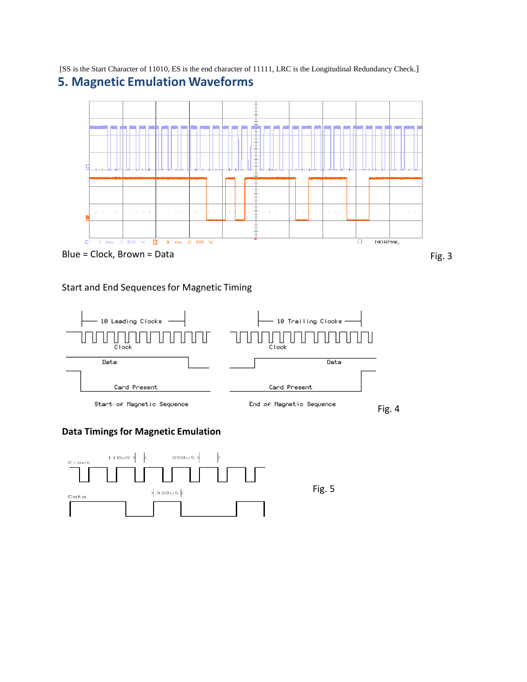[SS is the Start Character of 11010, ES is the end character of 11111, LRC is the Longitudinal Redundancy Check.] **5. Magnetic Emulation Waveforms**



#### Start and End Sequences for Magnetic Timing



#### **Data Timings for Magnetic Emulation**

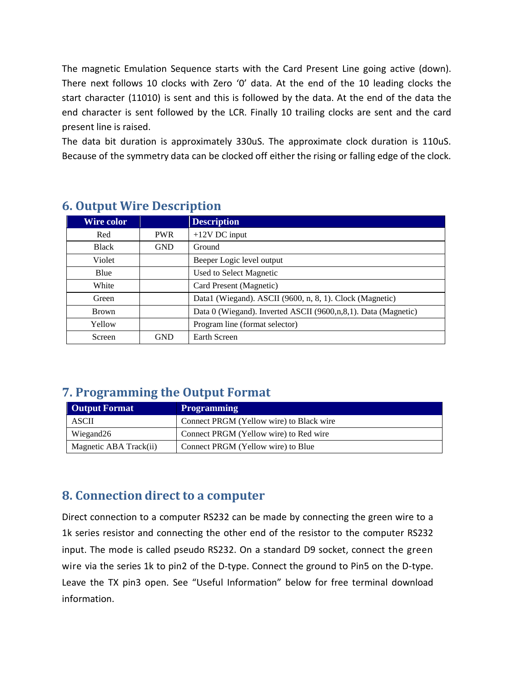The magnetic Emulation Sequence starts with the Card Present Line going active (down). There next follows 10 clocks with Zero '0' data. At the end of the 10 leading clocks the start character (11010) is sent and this is followed by the data. At the end of the data the end character is sent followed by the LCR. Finally 10 trailing clocks are sent and the card present line is raised.

The data bit duration is approximately 330uS. The approximate clock duration is 110uS. Because of the symmetry data can be clocked off either the rising or falling edge of the clock.

| <b>Wire color</b> |            | <b>Description</b>                                             |
|-------------------|------------|----------------------------------------------------------------|
| Red               | <b>PWR</b> | $+12V$ DC input                                                |
| <b>Black</b>      | <b>GND</b> | Ground                                                         |
| Violet            |            | Beeper Logic level output                                      |
| Blue              |            | Used to Select Magnetic                                        |
| White             |            | Card Present (Magnetic)                                        |
| Green             |            | Data1 (Wiegand). ASCII (9600, n, 8, 1). Clock (Magnetic)       |
| <b>Brown</b>      |            | Data 0 (Wiegand). Inverted ASCII (9600,n,8,1). Data (Magnetic) |
| Yellow            |            | Program line (format selector)                                 |
| Screen            | <b>GND</b> | <b>Earth Screen</b>                                            |

## **6. Output Wire Description**

## **7. Programming the Output Format**

| <b>Output Format</b>   | <b>Programming</b>                       |
|------------------------|------------------------------------------|
| ASCII                  | Connect PRGM (Yellow wire) to Black wire |
| Wiegand26              | Connect PRGM (Yellow wire) to Red wire   |
| Magnetic ABA Track(ii) | Connect PRGM (Yellow wire) to Blue       |

## **8. Connection direct to a computer**

Direct connection to a computer RS232 can be made by connecting the green wire to a 1k series resistor and connecting the other end of the resistor to the computer RS232 input. The mode is called pseudo RS232. On a standard D9 socket, connect the green wire via the series 1k to pin2 of the D-type. Connect the ground to Pin5 on the D-type. Leave the TX pin3 open. See "Useful Information" below for free terminal download information.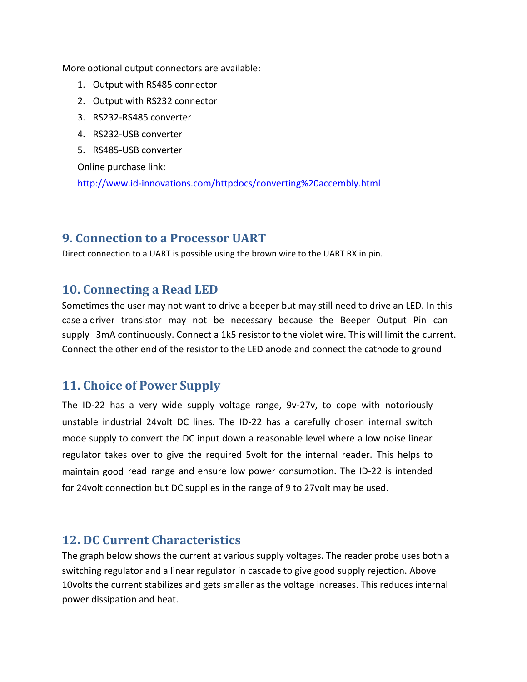More optional output connectors are available:

- 1. Output with RS485 connector
- 2. Output with RS232 connector
- 3. RS232-RS485 converter
- 4. RS232-USB converter
- 5. RS485-USB converter

Online purchase link:

<http://www.id-innovations.com/httpdocs/converting%20accembly.html>

### **9. Connection to a Processor UART**

Direct connection to a UART is possible using the brown wire to the UART RX in pin.

#### **10. Connecting a Read LED**

Sometimes the user may not want to drive a beeper but may still need to drive an LED. In this case a driver transistor may not be necessary because the Beeper Output Pin can supply 3mA continuously. Connect a 1k5 resistor to the violet wire. This will limit the current. Connect the other end of the resistor to the LED anode and connect the cathode to ground

## **11. Choice of Power Supply**

The ID-22 has a very wide supply voltage range, 9v-27v, to cope with notoriously unstable industrial 24volt DC lines. The ID-22 has a carefully chosen internal switch mode supply to convert the DC input down a reasonable level where a low noise linear regulator takes over to give the required 5volt for the internal reader. This helps to maintain good read range and ensure low power consumption. The ID-22 is intended for 24volt connection but DC supplies in the range of 9 to 27volt may be used.

#### **12. DC Current Characteristics**

The graph below shows the current at various supply voltages. The reader probe uses both a switching regulator and a linear regulator in cascade to give good supply rejection. Above 10volts the current stabilizes and gets smaller as the voltage increases. This reduces internal power dissipation and heat.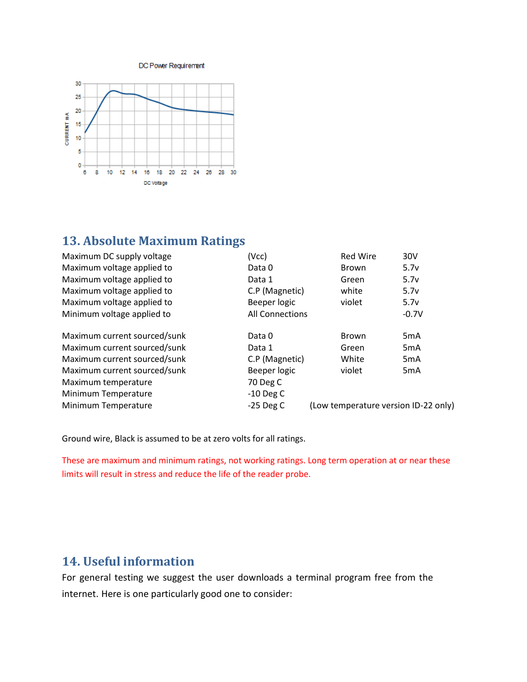DC Power Requirement



### **13. Absolute Maximum Ratings**

| (Vcc)                  | <b>Red Wire</b> | 30V                                  |
|------------------------|-----------------|--------------------------------------|
| Data 0                 | <b>Brown</b>    | 5.7v                                 |
| Data 1                 | Green           | 5.7v                                 |
| C.P (Magnetic)         | white           | 5.7v                                 |
| Beeper logic           | violet          | 5.7v                                 |
| <b>All Connections</b> |                 | $-0.7V$                              |
| Data 0                 | <b>Brown</b>    | 5 <sub>m</sub> A                     |
| Data 1                 | Green           | 5 <sub>m</sub> A                     |
| C.P (Magnetic)         | White           | 5 <sub>m</sub> A                     |
| Beeper logic           | violet          | 5 <sub>m</sub> A                     |
| 70 Deg C               |                 |                                      |
| $-10$ Deg C            |                 |                                      |
| $-25$ Deg C            |                 |                                      |
|                        |                 | (Low temperature version ID-22 only) |

Ground wire, Black is assumed to be at zero volts for all ratings.

These are maximum and minimum ratings, not working ratings. Long term operation at or near these limits will result in stress and reduce the life of the reader probe.

## **14. Useful information**

For general testing we suggest the user downloads a terminal program free from the internet. Here is one particularly good one to consider: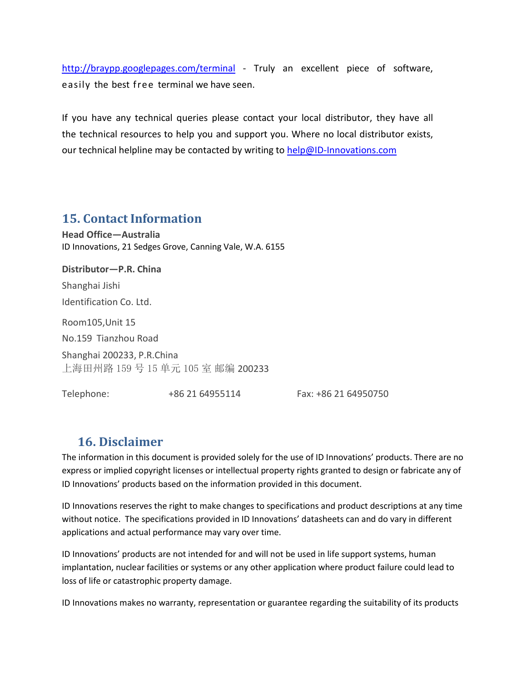<http://braypp.googlepages.com/terminal> - Truly an excellent piece of software, easily the best free terminal we have seen.

If you have any technical queries please contact your local distributor, they have all the technical resources to help you and support you. Where no local distributor exists, our technical helpline may be contacted by writing to [help@ID-Innovations.com](mailto:help@ID-Innovations.com)

## **15. Contact Information**

**Head Office—Australia** ID Innovations, 21 Sedges Grove, Canning Vale, W.A. 6155

**Distributor—P.R. China** Shanghai Jishi Identification Co. Ltd. Room105,Unit 15 No.159 Tianzhou Road Shanghai 200233, P.R.China 上海田州路 159 号 15 单元 105 室 邮编 200233

Telephone: +86 21 64955114 Fax: +86 21 64950750

## **16. Disclaimer**

The information in this document is provided solely for the use of ID Innovations' products. There are no express or implied copyright licenses or intellectual property rights granted to design or fabricate any of ID Innovations' products based on the information provided in this document.

ID Innovations reserves the right to make changes to specifications and product descriptions at any time without notice. The specifications provided in ID Innovations' datasheets can and do vary in different applications and actual performance may vary over time.

ID Innovations' products are not intended for and will not be used in life support systems, human implantation, nuclear facilities or systems or any other application where product failure could lead to loss of life or catastrophic property damage.

ID Innovations makes no warranty, representation or guarantee regarding the suitability of its products